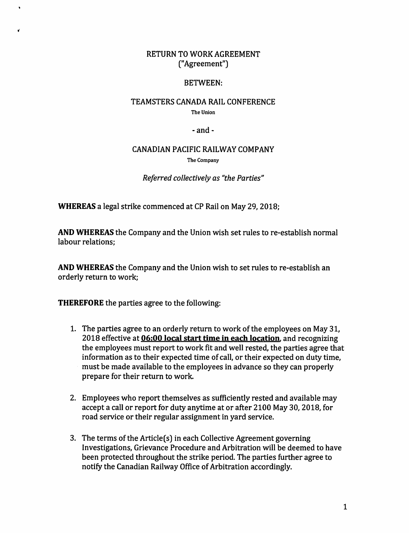## RETURN TO WORK AGREEMENT ("Agreement")

## BETWEEN:

## TEAMSTERS CANADA RAIL CONFERENCE The Union

 $-$ and $-$ 

## CANADIAN PACIFIC RAILWAY COMPANY The Company

*Referred collectively as "the Parties"* 

**WHEREAS** a legal strike commenced at CP Rail on May 29, 2018;

**AND WHEREAS** the Company and the Union wish set rules to re-establish normal labour relations;

**AND WHEREAS** the Company and the Union wish to set rules to re-establish an orderly return to work;

**THEREFORE** the parties agree to the following:

- 1. The parties agree to an orderly return to work of the employees on May 31, 2018 effective at **06:00 local start time in each location.** and recognizing the employees must report to work fit and well rested, the parties agree that information as to their expected time of call, or their expected on duty time, must be made available to the employees in advance so they can properly prepare for their return to work.
- 2. Employees who report themselves as sufficiently rested and available may accept a call or report for duty anytime at or after 2100 May 30, 2018, for road service or their regular assignment in yard service.
- 3. The terms of the Article(s) in each Collective Agreement governing Investigations, Grievance Procedure and Arbitration will be deemed to have been protected throughout the strike period. The parties further agree to notify the Canadian Railway Office of Arbitration accordingly.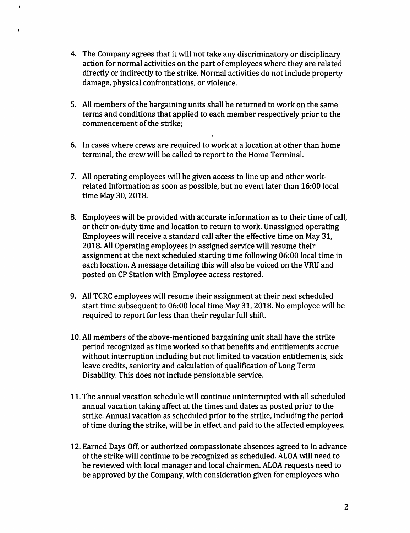4. The Company agrees that it will not take any discriminatory or disciplinary action for normal activities on the part of employees where they are related directly or indirectly to the strike. Normal activities do not include property damage, physical confrontations, or violence.

 $\bullet$ 

- 5. All members of the bargaining units shall be returned to work on the same terms and conditions that applied to each member respectively prior to the commencement of the strike;
- 6. In cases where crews are required to work at a location at other than home terminal, the crew will be called to report to the Home Terminal.
- 7. All operating employees will be given access to line up and other workrelated Information as soon as possible, but no event later than 16:00 local time May 30, 2018.
- 8. Employees will be provided with accurate information as to their time of call, or their on-duty time and location to return to work. Unassigned operating Employees will receive a standard call after the effective time on May 31, 2018. All Operating employees in assigned service will resume their assignment at the next scheduled starting time following 06:00 local time in each location. A message detailing this will also be voiced on the VRU and posted on CP Station with Employee access restored.
- 9. All TCRC employees will resume their assignment at their next scheduled start time subsequent to 06:00 local time May 31, 2018. No employee will be required to report for less than their regular full shift.
- 10. All members of the above-mentioned bargaining unit shall have the strike period recognized as time worked so that benefits and entitlements accrue without interruption including but not limited to vacation entitlements, sick leave credits, seniority and calculation of qualification of Long Term Disability. This does not include pensionable service.
- 11. The annual vacation schedule will continue uninterrupted with all scheduled annual vacation taking affect at the times and dates as posted prior to the strike. Annual vacation as scheduled prior to the strike, including the period of time during the strike, will be in effect and paid to the affected employees.
- 12. Earned Days Off, or authorized compassionate absences agreed to in advance of the strike will continue to be recognized as scheduled. ALOA will need to be reviewed with local manager and local chairmen. ALOA requests need to be approved by the Company, with consideration given for employees who